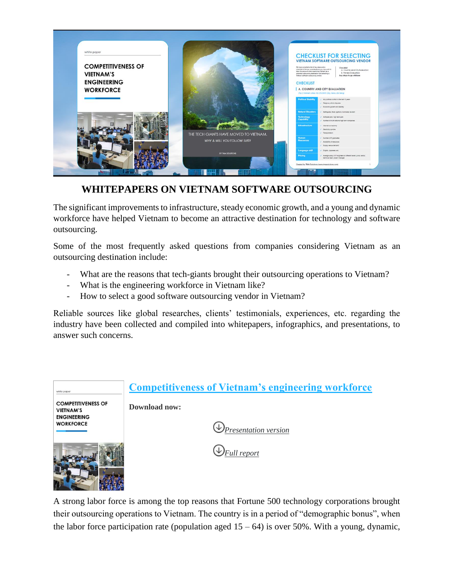

## **WHITEPAPERS ON VIETNAM SOFTWARE OUTSOURCING**

The significant improvements to infrastructure, steady economic growth, and a young and dynamic workforce have helped Vietnam to become an attractive destination for technology and software outsourcing.

Some of the most frequently asked questions from companies considering Vietnam as an outsourcing destination include:

- What are the reasons that tech-giants brought their outsourcing operations to Vietnam?
- What is the engineering workforce in Vietnam like?
- How to select a good software outsourcing vendor in Vietnam?

Reliable sources like global researches, clients' testimonials, experiences, etc. regarding the industry have been collected and compiled into whitepapers, infographics, and presentations, to answer such concerns.

| white paper                                                         | <b>Competitiveness of Vietnam's engineering workforce</b> |
|---------------------------------------------------------------------|-----------------------------------------------------------|
| <b>COMPETITIVENESS OF</b><br><b>VIETNAM'S</b><br><b>ENGINEERING</b> | Download now:                                             |
| <b>WORKFORCE</b>                                                    | $\bigcup$ Presentation version                            |
|                                                                     | $\bigcup_{Full\ report}$                                  |

A strong labor force is among the top reasons that Fortune 500 technology corporations brought their outsourcing operations to Vietnam. The country is in a period of "demographic bonus", when the labor force participation rate (population aged  $15 - 64$ ) is over 50%. With a young, dynamic,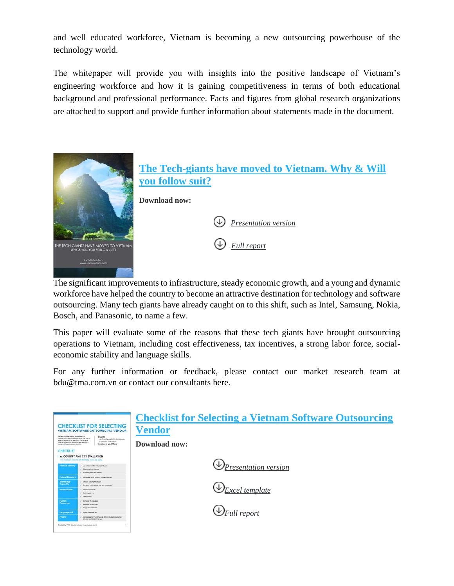and well educated workforce, Vietnam is becoming a new outsourcing powerhouse of the technology world.

The whitepaper will provide you with insights into the positive landscape of Vietnam's engineering workforce and how it is gaining competitiveness in terms of both educational background and professional performance. Facts and figures from global research organizations are attached to support and provide further information about statements made in the document.



The significant improvements to infrastructure, steady economic growth, and a young and dynamic workforce have helped the country to become an attractive destination for technology and software outsourcing. Many tech giants have already caught on to this shift, such as Intel, Samsung, Nokia, Bosch, and Panasonic, to name a few.

This paper will evaluate some of the reasons that these tech giants have brought outsourcing operations to Vietnam, including cost effectiveness, tax incentives, a strong labor force, socialeconomic stability and language skills.

For any further information or feedback, please contact our market research team at bdu@tma.com.vn or contact our consultants here.

| this have complete a let of har shape and a<br>checkles of the key considerations you may wish for<br>sala into account when examining Vietnam as a<br>potential outside the community and selected a<br>Vetram additions dutain entrol vehicle.<br><b>CHECKLIST</b> | <b>CHECKLIST FOR SELECTING</b><br><b>VIETNAM SOFTWARE OUTSOURCING VENDOR</b><br>Checkful<br>A Country and City Evaluation<br>8. Vendor Evolution<br>Key sleps to go of shore       | <b>Checklist for Selecting a Vietnam Software Outsourcing</b><br>Vendor<br>Download now: |
|----------------------------------------------------------------------------------------------------------------------------------------------------------------------------------------------------------------------------------------------------------------------|------------------------------------------------------------------------------------------------------------------------------------------------------------------------------------|------------------------------------------------------------------------------------------|
| <b>Political Stability</b>                                                                                                                                                                                                                                           | A. COUNTRY AND CITY EVALUATION<br>(Top 3 University offers Filo Christian City, Hierce, De Nanch<br>Any political conflict in the last 10 years<br>Periphone, affirme disabilities | $\bigcirc$ Presentation version                                                          |
| <b>Natural Disasters</b><br><b>Technology</b><br>Capability                                                                                                                                                                                                          | Economic groups and statility<br>Earthbushe flood bothous, hunkare, textured<br>Software park, high tech cark.                                                                     |                                                                                          |
| <b>Infrastructure</b>                                                                                                                                                                                                                                                | Number of multi-national high tech companies.<br>Internet connectivity<br>Demony up-time<br><b>3 anapoitation</b>                                                                  | Excel template                                                                           |
| <b>Burnan</b><br>Rendurces                                                                                                                                                                                                                                           | Number of IT graduates<br>Analybits of resources<br><b>Sypply varius demand</b>                                                                                                    |                                                                                          |
| <b>Buke equipped</b><br><b>Pricing:</b>                                                                                                                                                                                                                              | English, Japanese, etc.<br>Average salary of IT engineers at offerent levels; surior, serior,<br><b>Normal lead, project manager</b>                                               | $\bigcup$ Full report                                                                    |
| Created by TMA Solutions (www.tmasolutions.com)                                                                                                                                                                                                                      |                                                                                                                                                                                    |                                                                                          |